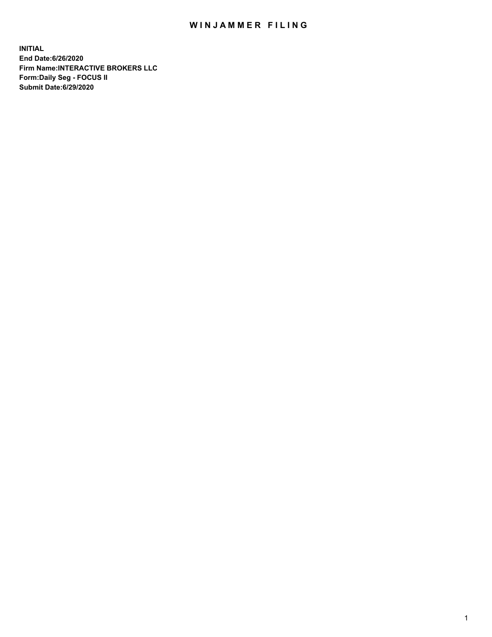## WIN JAMMER FILING

**INITIAL End Date:6/26/2020 Firm Name:INTERACTIVE BROKERS LLC Form:Daily Seg - FOCUS II Submit Date:6/29/2020**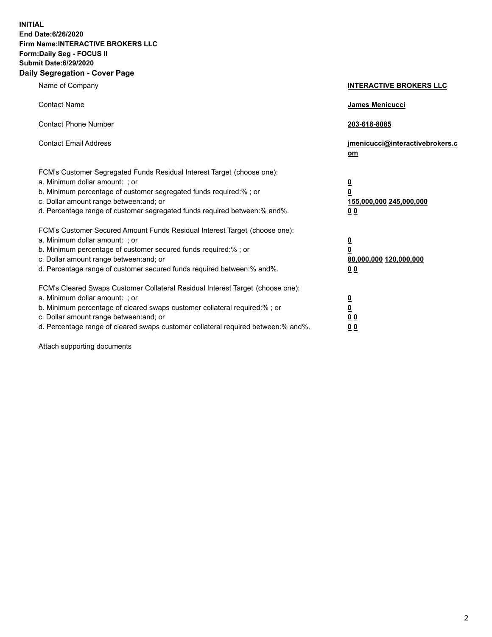**INITIAL End Date:6/26/2020 Firm Name:INTERACTIVE BROKERS LLC Form:Daily Seg - FOCUS II Submit Date:6/29/2020 Daily Segregation - Cover Page**

| Name of Company                                                                                                                                                                                                                                                                                                                | <b>INTERACTIVE BROKERS LLC</b>                                                   |
|--------------------------------------------------------------------------------------------------------------------------------------------------------------------------------------------------------------------------------------------------------------------------------------------------------------------------------|----------------------------------------------------------------------------------|
| <b>Contact Name</b>                                                                                                                                                                                                                                                                                                            | James Menicucci                                                                  |
| <b>Contact Phone Number</b>                                                                                                                                                                                                                                                                                                    | 203-618-8085                                                                     |
| <b>Contact Email Address</b>                                                                                                                                                                                                                                                                                                   | jmenicucci@interactivebrokers.c<br>om                                            |
| FCM's Customer Segregated Funds Residual Interest Target (choose one):<br>a. Minimum dollar amount: ; or<br>b. Minimum percentage of customer segregated funds required:% ; or<br>c. Dollar amount range between: and; or<br>d. Percentage range of customer segregated funds required between:% and%.                         | <u>0</u><br>$\overline{\mathbf{0}}$<br>155,000,000 245,000,000<br>0 <sub>0</sub> |
| FCM's Customer Secured Amount Funds Residual Interest Target (choose one):<br>a. Minimum dollar amount: ; or<br>b. Minimum percentage of customer secured funds required:% ; or<br>c. Dollar amount range between: and; or<br>d. Percentage range of customer secured funds required between:% and%.                           | <u>0</u><br>$\overline{\mathbf{0}}$<br>80,000,000 120,000,000<br>0 <sub>0</sub>  |
| FCM's Cleared Swaps Customer Collateral Residual Interest Target (choose one):<br>a. Minimum dollar amount: ; or<br>b. Minimum percentage of cleared swaps customer collateral required:% ; or<br>c. Dollar amount range between: and; or<br>d. Percentage range of cleared swaps customer collateral required between:% and%. | <u>0</u><br>$\underline{\mathbf{0}}$<br>0 <sub>0</sub><br>0 <sub>0</sub>         |

Attach supporting documents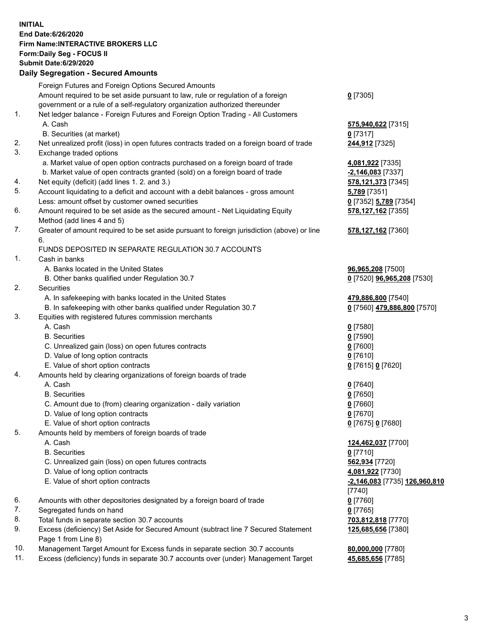**INITIAL End Date:6/26/2020 Firm Name:INTERACTIVE BROKERS LLC Form:Daily Seg - FOCUS II Submit Date:6/29/2020 Daily Segregation - Secured Amounts**

|     | Daily Segregation - Secureu Amounts                                                         |                                      |
|-----|---------------------------------------------------------------------------------------------|--------------------------------------|
|     | Foreign Futures and Foreign Options Secured Amounts                                         |                                      |
|     | Amount required to be set aside pursuant to law, rule or regulation of a foreign            | $0$ [7305]                           |
|     | government or a rule of a self-regulatory organization authorized thereunder                |                                      |
| 1.  | Net ledger balance - Foreign Futures and Foreign Option Trading - All Customers             |                                      |
|     | A. Cash                                                                                     | 575,940,622 [7315]                   |
|     | B. Securities (at market)                                                                   | $0$ [7317]                           |
| 2.  | Net unrealized profit (loss) in open futures contracts traded on a foreign board of trade   | 244,912 [7325]                       |
| 3.  | Exchange traded options                                                                     |                                      |
|     | a. Market value of open option contracts purchased on a foreign board of trade              | 4,081,922 [7335]                     |
|     | b. Market value of open contracts granted (sold) on a foreign board of trade                | $-2,146,083$ [7337]                  |
| 4.  | Net equity (deficit) (add lines 1. 2. and 3.)                                               | 578,121,373 [7345]                   |
| 5.  | Account liquidating to a deficit and account with a debit balances - gross amount           | 5,789 [7351]                         |
|     | Less: amount offset by customer owned securities                                            | 0 [7352] 5,789 [7354]                |
| 6.  | Amount required to be set aside as the secured amount - Net Liquidating Equity              | 578,127,162 [7355]                   |
|     | Method (add lines 4 and 5)                                                                  |                                      |
| 7.  | Greater of amount required to be set aside pursuant to foreign jurisdiction (above) or line | 578,127,162 [7360]                   |
|     | 6.                                                                                          |                                      |
|     | FUNDS DEPOSITED IN SEPARATE REGULATION 30.7 ACCOUNTS                                        |                                      |
| 1.  | Cash in banks                                                                               |                                      |
|     | A. Banks located in the United States                                                       | 96,965,208 [7500]                    |
|     | B. Other banks qualified under Regulation 30.7                                              | 0 [7520] 96,965,208 [7530]           |
| 2.  | Securities                                                                                  |                                      |
|     | A. In safekeeping with banks located in the United States                                   | 479,886,800 [7540]                   |
|     | B. In safekeeping with other banks qualified under Regulation 30.7                          | 0 [7560] 479,886,800 [7570]          |
| 3.  | Equities with registered futures commission merchants                                       |                                      |
|     | A. Cash                                                                                     | $0$ [7580]                           |
|     | <b>B.</b> Securities                                                                        | $0$ [7590]                           |
|     | C. Unrealized gain (loss) on open futures contracts                                         | $0$ [7600]                           |
|     | D. Value of long option contracts                                                           | $0$ [7610]                           |
|     | E. Value of short option contracts                                                          | 0 [7615] 0 [7620]                    |
| 4.  | Amounts held by clearing organizations of foreign boards of trade                           |                                      |
|     | A. Cash                                                                                     | $Q$ [7640]                           |
|     | <b>B.</b> Securities                                                                        | $0$ [7650]                           |
|     | C. Amount due to (from) clearing organization - daily variation                             | $0$ [7660]                           |
|     | D. Value of long option contracts                                                           | $0$ [7670]                           |
|     | E. Value of short option contracts                                                          | 0 [7675] 0 [7680]                    |
| 5.  | Amounts held by members of foreign boards of trade                                          |                                      |
|     | A. Cash                                                                                     | 124,462,037 [7700]                   |
|     | <b>B.</b> Securities                                                                        | $0$ [7710]                           |
|     | C. Unrealized gain (loss) on open futures contracts                                         | 562,934 [7720]                       |
|     | D. Value of long option contracts                                                           | 4,081,922 [7730]                     |
|     | E. Value of short option contracts                                                          | <u>-2,146,083</u> [7735] 126,960,810 |
|     |                                                                                             | $[7740]$                             |
| 6.  | Amounts with other depositories designated by a foreign board of trade                      | $0$ [7760]                           |
| 7.  | Segregated funds on hand                                                                    | $0$ [7765]                           |
| 8.  | Total funds in separate section 30.7 accounts                                               | 703,812,818 [7770]                   |
| 9.  | Excess (deficiency) Set Aside for Secured Amount (subtract line 7 Secured Statement         | 125,685,656 [7380]                   |
|     | Page 1 from Line 8)                                                                         |                                      |
| 10. | Management Target Amount for Excess funds in separate section 30.7 accounts                 | 80,000,000 [7780]                    |
| 11. | Excess (deficiency) funds in separate 30.7 accounts over (under) Management Target          | 45,685,656 [7785]                    |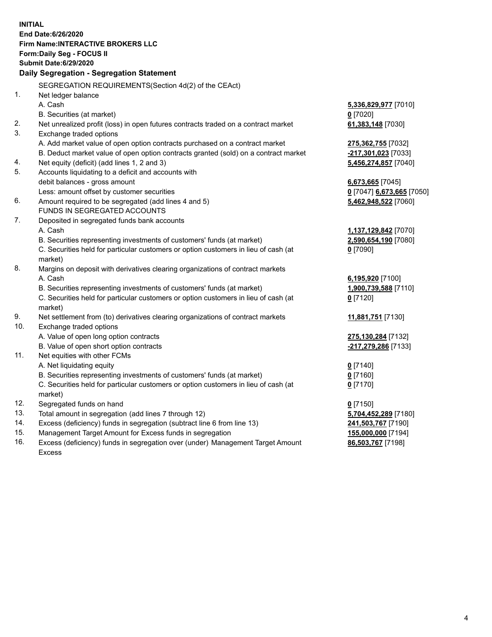**INITIAL End Date:6/26/2020 Firm Name:INTERACTIVE BROKERS LLC Form:Daily Seg - FOCUS II Submit Date:6/29/2020 Daily Segregation - Segregation Statement** SEGREGATION REQUIREMENTS(Section 4d(2) of the CEAct) 1. Net ledger balance A. Cash **5,336,829,977** [7010] B. Securities (at market) **0** [7020] 2. Net unrealized profit (loss) in open futures contracts traded on a contract market **61,383,148** [7030] 3. Exchange traded options A. Add market value of open option contracts purchased on a contract market **275,362,755** [7032] B. Deduct market value of open option contracts granted (sold) on a contract market **-217,301,023** [7033] 4. Net equity (deficit) (add lines 1, 2 and 3) **5,456,274,857** [7040] 5. Accounts liquidating to a deficit and accounts with debit balances - gross amount **6,673,665** [7045] Less: amount offset by customer securities **0** [7047] **6,673,665** [7050] 6. Amount required to be segregated (add lines 4 and 5) **5,462,948,522** [7060] FUNDS IN SEGREGATED ACCOUNTS 7. Deposited in segregated funds bank accounts A. Cash **1,137,129,842** [7070] B. Securities representing investments of customers' funds (at market) **2,590,654,190** [7080] C. Securities held for particular customers or option customers in lieu of cash (at market) **0** [7090] 8. Margins on deposit with derivatives clearing organizations of contract markets A. Cash **6,195,920** [7100] B. Securities representing investments of customers' funds (at market) **1,900,739,588** [7110] C. Securities held for particular customers or option customers in lieu of cash (at market) **0** [7120] 9. Net settlement from (to) derivatives clearing organizations of contract markets **11,881,751** [7130] 10. Exchange traded options A. Value of open long option contracts **275,130,284** [7132] B. Value of open short option contracts **-217,279,286** [7133] 11. Net equities with other FCMs A. Net liquidating equity **0** [7140] B. Securities representing investments of customers' funds (at market) **0** [7160] C. Securities held for particular customers or option customers in lieu of cash (at market) **0** [7170] 12. Segregated funds on hand **0** [7150] 13. Total amount in segregation (add lines 7 through 12) **5,704,452,289** [7180] 14. Excess (deficiency) funds in segregation (subtract line 6 from line 13) **241,503,767** [7190] 15. Management Target Amount for Excess funds in segregation **155,000,000** [7194] 16. Excess (deficiency) funds in segregation over (under) Management Target Amount **86,503,767** [7198]

Excess